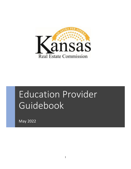

# Education Provider Guidebook

May 2022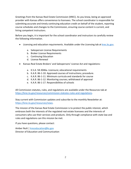Greetings from the Kansas Real Estate Commission (KREC). As you know, being an approved provider with Kansas offers convenience to licensees. The school coordinator is responsible for submitting accurate and timely continuing education credit on behalf of the student, reporting course schedules and changes to the Commission, ensuring course content is current, and hiring competent instructors.

Before you begin, it is important for the school coordinator and instructors to carefully review the following information.

- Licensing and education requirements. Available under the Licensing tab at [krec.ks.gov.](http://krec.ks.gov/)
	- a. Salesperson License Requirements
	- b. Broker License Requirements
	- c. Continuing Education
	- d. License Renewal
- Kansas Real Estate Brokers' and Salespersons' License Act and regulations:
	- a. K.S.A. 58-3046a. Licensure; educational requirements
	- b. K.A.R. 86-1-10. Approved courses of instructions; procedure.
	- c. K.A.R. 86-1-11. Minimum curricula and standards for course
	- d. K.A.R. 86-1-12. Monitoring courses; withdrawal of approval
	- e. K.A.R. 86-1-17. Responsibilities of schools

All Commission statutes, rules, and regulations are available under the Resources tab at [https://krec.ks.gov/resources/commission-statutes-rules-and-regulations.](https://krec.ks.gov/resources/commission-statutes-rules-and-regulations)

Stay current with Commission updates and subscribe to the monthly Newsletter at: [https://krec.ks.gov/resources/news.](https://krec.ks.gov/resources/news)

The mission of the Kansas Real Estate Commission is to protect the public interest, which embraces both the interests of the regulated real estate licensees and the interests of consumers who use their services and products. Only through compliance with state law and rules and regulations can this mission be met.

If you have questions, please contact:

Amber Nutt [| kreceducation@ks.gov](mailto:kreceducation@ks.gov)  Director of Education and Communication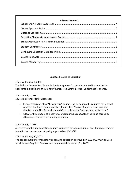# **Table of Contents**

# **Updates Related to Education**

Effective January 1, 2020

The 30-hour "Kansas Real Estate Broker Management" course is required for new broker applicants in addition to the 30-hour "Kansas Real Estate Broker Fundamentals" course.

Effective July 1, 2020

Education Standards for Licensees:

- Repeal requirement for "broker core" course. The 12 hours of CE required for renewal consists of at least three mandatory hours titled "Kansas Required Core" and nine elective hours. The Kansas Required Core replaces the "salesperson/broker core."
- Allow for three hours of elective CE credit during a renewal period to be earned by attending a Commission meeting in person.

Effective July 1, 2022

All elective continuing education courses submitted for approval must meet the requirements found in the course approval policy approved on 05/23/22.

Effective January 31, 2023

The topical outline for mandatory continuing education approved on 05/23/22 must be used for all Kansas Required Core courses taught on/after January 31, 2023.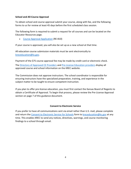### **School and All-Course Approval**

To obtain school and course approval submit your course, along with fee, and the following forms to us for review at least 45 days before the first scheduled class session.

The following form is required to submit a request for all courses and can be located on the Educator Resources page.

• [Course Approval Application](https://krec.ks.gov/docs/librariesprovider16/forms/re-810-course-approval-application.pdf?sfvrsn=c0386ca3_34) (RE-810)

If your course is approved, you will also be set up as a new school at that time.

All education course submission materials must be sent electronically to [kreceducation@ks.gov.](mailto:kreceducation@ks.gov)

Payment of the \$75 course approval fee may be made by credit card or electronic check. The [Directory of Approved CE Providers](https://krec.ks.gov/docs/librariesprovider16/licensing/approved-continuing-education.pdf?sfvrsn=cea76ca3_403) and [Pre-License Education providers](https://krec.ks.gov/docs/librariesprovider16/licensing/approved-pre-license-education.pdf) display all approved course and school information on the KREC website.

The Commission does not approve instructors. The school coordinator is responsible for ensuring instructors have the specialized preparation, training, and experience in the subject matter to be taught to ensure competent instruction.

If you plan to offer pre-license education, you must first contact the Kansas Board of Regents to obtain a Certificate of Approval. To begin that process, please review the Pre-License Approval section on page 7 of this guidance document.

#### **Consent to Electronic Service**

If you prefer to have all communications sent via email rather than U.S. mail, please complete and return the [Consent to Electronic Service for Schools](https://krec.ks.gov/docs/librariesprovider16/forms/consent-to-electronic-service-for-schools.pdf?sfvrsn=c79768a3_4) form to [kreceducation@ks.gov](mailto:kreceducation@ks.gov) at any time. This enables KREC to send any notices, directives, warnings, and course monitoring findings to a school through email.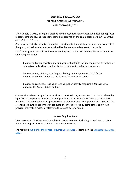### **COURSE APPROVAL POLICY**

### ELECTIVE CONTINUING EDUCATION

#### APPROVED 05/23/2022

Effective July 1, 2022, all original elective continuing education courses submitted for approval must meet the following requirements to be approved by the commission per K.S.A. 58-3046a and K.A.R. 86-1-11(f).

Courses designated as elective hours shall contribute to the maintenance and improvement of the quality of real estate services provided by the real estate licensee to the public.

The following courses shall not be considered by the commission to meet the requirements of continuing education:

Courses on teams, social media, and agency that fail to include requirements for broker supervision, advertising, and brokerage relationships in Kansas license law

Courses on negotiation, investing, marketing, or lead-generation that fail to demonstrate direct benefit to the licensee's client or customer

Courses on residential leasing or renting (not an activity requiring a Kansas license pursuant to KSA 58-3035(f) and (j))

Courses that advertise a particular product or service during instruction time that is offered by a particular company or individual or that provides a direct or indirect benefit to the course provider. The commission may approve courses that provide a list of products or services if the list includes a sufficient number of products or services offered by competitors and would provide informative material relative to the course being offered.

#### **Kansas Required Core**

Salespersons and Brokers must complete 12 hours to renew, including at least 3 mandatory hours in an approved course titled: "Kansas Required Core."

The required [outline for the Kansas Required Core course](https://krec.ks.gov/docs/librariesprovider16/forms/outline---kansas-required-core.pdf?sfvrsn=7e116fa3_10) is located on the Educator Resources [page.](https://krec.ks.gov/resources/educator-resources)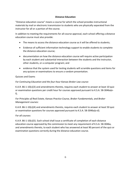## **Distance Education**

"Distance education course" means a course for which the school provides instructional materials by mail or electronic transmission to students who are physically separated from the instructor for all or a portion of the course.

In addition to meeting the requirements for all-course approval, each school offering a distance education course must also provide:

- The means to access the distance education course as it will be offered to students;
- Evidence of sufficient information technology support to enable students to complete the distance education course;
- documentation on how the distance education course will require active participation by each student and substantial interaction between the students and the instructor, other students, or a computer program; and
- evidence that the system used for testing students will scramble questions and items for any quizzes or examinations to ensure a random presentation.

## Quizzes and Exams

## *For Continuing Education and the four-hour Kansas Broker Law course:*

K.A.R. 86-1-10(c)(3) and amendments thereto, requires each student to answer at least 10 quiz or examination questions per credit hour for courses approved pursuant to K.S.A. 58-3046a(ef).

# *For Principles of Real Estate, Kansas Practice Course, Broker Fundamentals, and Broker Management courses:*

K.A.R. 86-1-10(c)(4) and amendments thereto, requires each student to answer at least 50 quiz or examination questions for courses approved pursuant to K.S.A. 58-3046a(a-d).

# *For all courses:*

K.A.R. 86-1-10(c)(5). Each school shall issue a certificate of completion of each distance education course approved by the commission to meet any requirement of K.S.A. 58-3046a, and amendments thereto, to each student who has answered at least 90 percent of the quiz or examination questions correctly during the distance education course.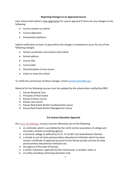### **Reporting Changes to an Approved Course**

Each school shall submit a new application for course approval if there are any changes to the following:

- Course content or outline
- Course objectives
- Presentation platform

Submit notification at least 15 days before the change is scheduled to occur for any of the following changes:

- School coordinator and contact information
- School address
- Course title
- Course date
- Discontinuation of any course
- Intent to close the school

To notify the commission of these changes, email [kreceducation@ks.gov.](mailto:kreceducation@ks.gov)

Material for the following courses must be updated by the school when notified by KREC:

- 1. Kansas Required Core
- 2. Principles of Real Estate
- 3. Kansas Practice course
- 4. Kansas Law course
- 5. Kansas Real Estate Broker Fundamentals course
- 6. Kansas Real Estate Broker Management course

#### **Pre-license Education Approval**

Per [K.S.A. 58-3046a\(g\),](https://krec.ks.gov/docs/librariesprovider16/krec-statutes-rules-regs/kansas-real-estate-commission-statutes-rules-and-regulations---effective-apr-23-2021.pdf?sfvrsn=1fbbfd5d_3) courses must be offered by one of the following:

- 1. an institution which is accredited by the north central association of college and secondary schools accrediting agency;
- 2. a technical college as defined by K.S.A. 72-32,407 and amendments thereto;
- 3. a private or out-of-state postsecondary educational institution which has been issued a certificate of approval pursuant to the Kansas private and out-of-state postsecondary educational institution act;
- 4. any agency of the state of Kansas;
- 5. a similar institution, approved by the Commission, in another state; or
- 6. an entity providing continuing education only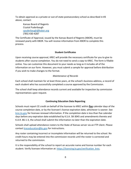To obtain approval as a private or out-of-state postsecondary school as described in #3 above, contact:

Kansas Board of Regents Crystal Puderbaugh [cpuderbaugh@ksbor.org](mailto:cpuderbaugh@ksbor.org) (785) 430-4287

The Certificate of Approval, issued by the Kansas Board of Regents (KBOR), must be renewed yearly with KBOR. You will receive information from KBOR to complete this process.

## **Student Certificates**

Upon receiving course approval, KREC will provide the necessary certificate for you to give to students after course completion. You do not need to send a copy to KREC. The form is fillable online. You can customize this document to your needs as long as it includes all of the information on our form. However, you must submit a sample for approval before distribution if you wish to make changes to the format.

## *Maintenance of Records*

Each school shall maintain for at least three years, at the school's business address, a record of each student who has successfully completed a course approved by the Commission.

The school shall keep attendance records current and available for inspection by commission representatives upon request.

## **Continuing Education Data Reporting**

Schools must report CE credit on behalf of the licensee to KREC within **five** calendar days of the course completion date, or by the licensee's license expiration date, whichever is sooner. See [krec.ks.gov](http://krec.ks.gov/) for licensee renewal information. If the completion date is less than five calendar days before any expiration date established by K.S.A. 58-3045 and amendments thereto and K.A.R. 86-1-3, the school shall submit the information no later than the expiration date.

Schools shall upload attendance rosters to the State of Kansas server via an FTP client. Please contact [kreceducation@ks.gov](mailto:kreceducation@ks.gov) for instructions.

Any roster containing incorrect or incomplete information will be returned to the school. No credit hours may be entered into the commission records until the roster is corrected and returned to the commission.

It is the responsibility of the school to report an accurate name and license number for each student. Verify licensee information at: https://licensing.ks.gov/verification krec.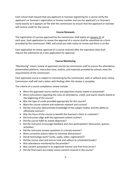Each school shall request that any applicant or licensee registering for a course verify the applicant's or licensee's registration or license number and use the applicant's or licensee's name exactly as it appears on file with the commission to ensure that the applicant or licensee will receive credit for the course.

## **Course Renewals**

The registration of courses approved by the commission shall expire on January 31 of each year. Each application to renew the approval of a course shall be submitted on a form provided by the commission. KREC will email you with notice to renew and there is no fee.

Each application to renew approval of a course received after the expiration date shall require the submission of a new application for approval.

# **Course Monitoring**

"Monitoring" means review of approved courses by commission staff to ensure the attendance, presentation platform, instruction time, outline, and materials provided by schools meet the requirements of the commission.

Each approved course is subject to monitoring by the commission, with or without prior notice. Commission staff will mail a letter with findings after the review is complete.

The criteria of a course compliance review include:

- Were the approved course outline and objectives clearly stated or presented?
- Were instructions regarding the rules on attendance, credit, and exams clearly stated at the beginning of the course?
- Was the type of credit provided appropriate for this course?
- Were the course content and materials relevant and current?
- Did the instructor demonstrate knowledge of the subject matter and the ability to effectively instruct?
- Was the focus of the course to benefit the licensee's client or customer?
- Did instruction align with the approved content outline?
- Did the course fulfill its stated objectives?
- Did the instructor encourage feedback and class participation? (discussion, quizzes, activities)
- Did the instructor answer questions in a timely manner?
- Were corrective actions taken to minimize distractions?
- Did all technology work? (Links, audio, video, registration)?
- Did the course start and end on time and adhere to scheduled breaks?
- Was attendance monitored by the provider?
- Was content presented in an organized manner and free from errors?
- Did the final exam accurately assess content covered in the course?